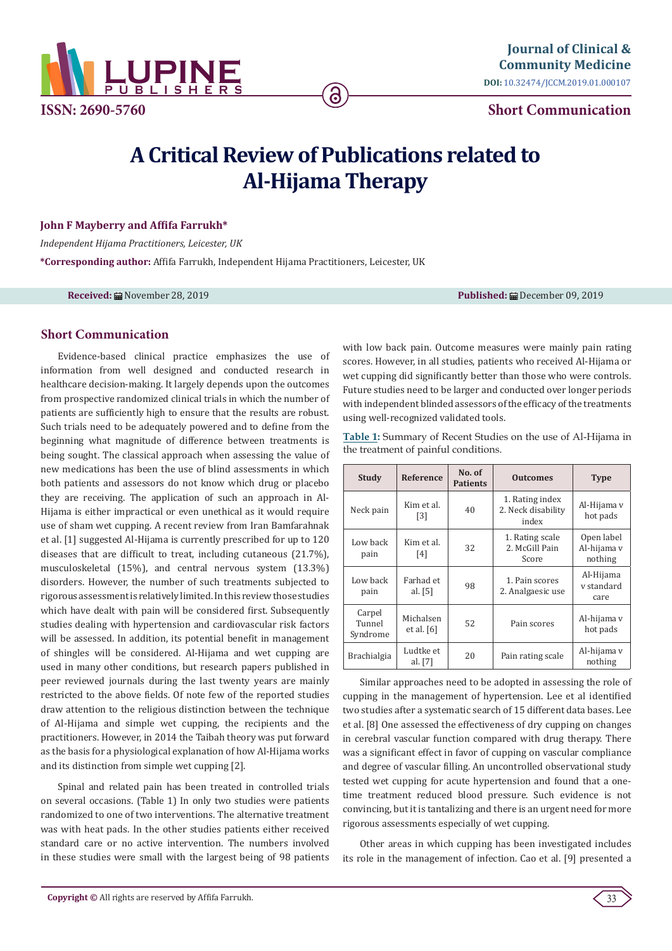

**Short Communication**

# **A Critical Review of Publications related to Al-Hijama Therapy**

6

### **John F Mayberry and Affifa Farrukh\***

*Independent Hijama Practitioners, Leicester, UK* **\*Corresponding author:** Affifa Farrukh, Independent Hijama Practitioners, Leicester, UK

**Received:** November 28, 2019 **Published:** December 09, 2019

## **Short Communication**

Evidence-based clinical practice emphasizes the use of information from well designed and conducted research in healthcare decision-making. It largely depends upon the outcomes from prospective randomized clinical trials in which the number of patients are sufficiently high to ensure that the results are robust. Such trials need to be adequately powered and to define from the beginning what magnitude of difference between treatments is being sought. The classical approach when assessing the value of new medications has been the use of blind assessments in which both patients and assessors do not know which drug or placebo they are receiving. The application of such an approach in Al-Hijama is either impractical or even unethical as it would require use of sham wet cupping. A recent review from Iran Bamfarahnak et al. [1] suggested Al-Hijama is currently prescribed for up to 120 diseases that are difficult to treat, including cutaneous (21.7%), musculoskeletal (15%), and central nervous system (13.3%) disorders. However, the number of such treatments subjected to rigorous assessment is relatively limited. In this review those studies which have dealt with pain will be considered first. Subsequently studies dealing with hypertension and cardiovascular risk factors will be assessed. In addition, its potential benefit in management of shingles will be considered. Al-Hijama and wet cupping are used in many other conditions, but research papers published in peer reviewed journals during the last twenty years are mainly restricted to the above fields. Of note few of the reported studies draw attention to the religious distinction between the technique of Al-Hijama and simple wet cupping, the recipients and the practitioners. However, in 2014 the Taibah theory was put forward as the basis for a physiological explanation of how Al-Hijama works and its distinction from simple wet cupping [2].

Spinal and related pain has been treated in controlled trials on several occasions. (Table 1) In only two studies were patients randomized to one of two interventions. The alternative treatment was with heat pads. In the other studies patients either received standard care or no active intervention. The numbers involved in these studies were small with the largest being of 98 patients with low back pain. Outcome measures were mainly pain rating scores. However, in all studies, patients who received Al-Hijama or wet cupping did significantly better than those who were controls. Future studies need to be larger and conducted over longer periods with independent blinded assessors of the efficacy of the treatments using well-recognized validated tools.

**Table 1:** Summary of Recent Studies on the use of Al-Hijama in the treatment of painful conditions.

| <b>Study</b>                 | <b>Reference</b>                | No. of<br><b>Patients</b> | <b>Outcomes</b>                                | <b>Type</b>                          |
|------------------------------|---------------------------------|---------------------------|------------------------------------------------|--------------------------------------|
| Neck pain                    | Kim et al.<br>$\lceil 3 \rceil$ | 40                        | 1. Rating index<br>2. Neck disability<br>index | Al-Hijama v<br>hot pads              |
| Low back<br>pain             | Kim et al.<br>[4]               | 32                        | 1. Rating scale<br>2. McGill Pain<br>Score     | Open label<br>Al-hijama v<br>nothing |
| Low back<br>pain             | Farhad et<br>al. $[5]$          | 98                        | 1. Pain scores<br>2. Analgaesic use            | Al-Hijama<br>v standard<br>care      |
| Carpel<br>Tunnel<br>Syndrome | Michalsen<br>et al. $[6]$       | 52                        | Pain scores                                    | Al-hijama v<br>hot pads              |
| Brachialgia                  | Ludtke et<br>al. $[7]$          | 20                        | Pain rating scale                              | Al-hijama v<br>nothing               |

Similar approaches need to be adopted in assessing the role of cupping in the management of hypertension. Lee et al identified two studies after a systematic search of 15 different data bases. Lee et al. [8] One assessed the effectiveness of dry cupping on changes in cerebral vascular function compared with drug therapy. There was a significant effect in favor of cupping on vascular compliance and degree of vascular filling. An uncontrolled observational study tested wet cupping for acute hypertension and found that a onetime treatment reduced blood pressure. Such evidence is not convincing, but it is tantalizing and there is an urgent need for more rigorous assessments especially of wet cupping.

Other areas in which cupping has been investigated includes its role in the management of infection. Cao et al. [9] presented a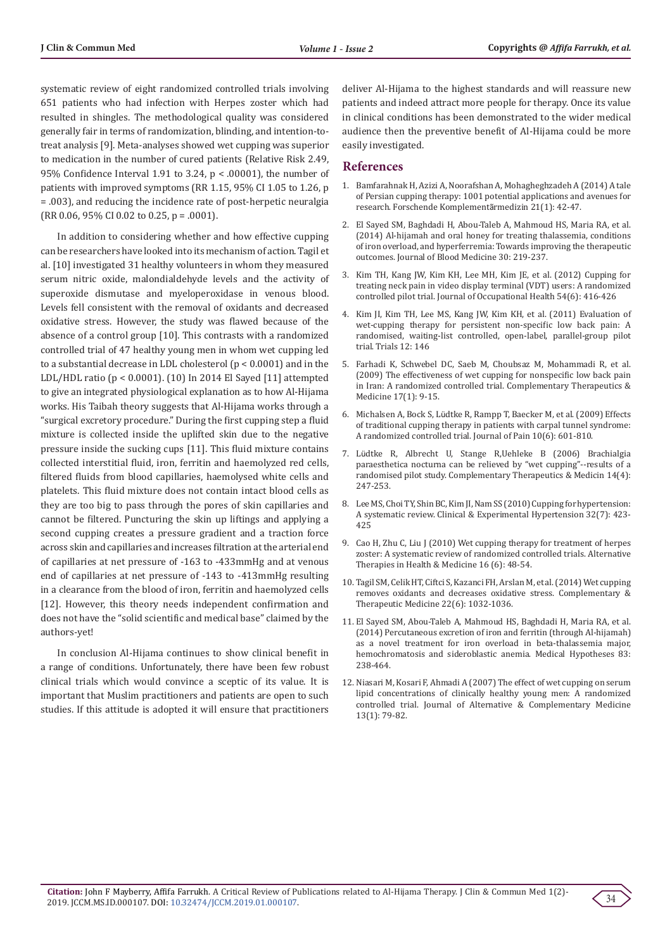systematic review of eight randomized controlled trials involving 651 patients who had infection with Herpes zoster which had resulted in shingles. The methodological quality was considered generally fair in terms of randomization, blinding, and intention-totreat analysis [9]. Meta-analyses showed wet cupping was superior to medication in the number of cured patients (Relative Risk 2.49, 95% Confidence Interval 1.91 to 3.24, p < .00001), the number of patients with improved symptoms (RR 1.15, 95% CI 1.05 to 1.26, p = .003), and reducing the incidence rate of post-herpetic neuralgia (RR 0.06, 95% CI 0.02 to 0.25, p = .0001).

In addition to considering whether and how effective cupping can be researchers have looked into its mechanism of action. Tagil et al. [10] investigated 31 healthy volunteers in whom they measured serum nitric oxide, malondialdehyde levels and the activity of superoxide dismutase and myeloperoxidase in venous blood. Levels fell consistent with the removal of oxidants and decreased oxidative stress. However, the study was flawed because of the absence of a control group [10]. This contrasts with a randomized controlled trial of 47 healthy young men in whom wet cupping led to a substantial decrease in LDL cholesterol (p < 0.0001) and in the LDL/HDL ratio (p < 0.0001). (10) In 2014 El Sayed [11] attempted to give an integrated physiological explanation as to how Al-Hijama works. His Taibah theory suggests that Al-Hijama works through a "surgical excretory procedure." During the first cupping step a fluid mixture is collected inside the uplifted skin due to the negative pressure inside the sucking cups [11]. This fluid mixture contains collected interstitial fluid, iron, ferritin and haemolyzed red cells, filtered fluids from blood capillaries, haemolysed white cells and platelets. This fluid mixture does not contain intact blood cells as they are too big to pass through the pores of skin capillaries and cannot be filtered. Puncturing the skin up liftings and applying a second cupping creates a pressure gradient and a traction force across skin and capillaries and increases filtration at the arterial end of capillaries at net pressure of -163 to -433mmHg and at venous end of capillaries at net pressure of -143 to -413mmHg resulting in a clearance from the blood of iron, ferritin and haemolyzed cells [12]. However, this theory needs independent confirmation and does not have the "solid scientific and medical base" claimed by the authors-yet!

In conclusion Al-Hijama continues to show clinical benefit in a range of conditions. Unfortunately, there have been few robust clinical trials which would convince a sceptic of its value. It is important that Muslim practitioners and patients are open to such studies. If this attitude is adopted it will ensure that practitioners deliver Al-Hijama to the highest standards and will reassure new patients and indeed attract more people for therapy. Once its value in clinical conditions has been demonstrated to the wider medical audience then the preventive benefit of Al-Hijama could be more easily investigated.

#### **References**

- 1. [Bamfarahnak H, Azizi A, Noorafshan A, Mohagheghzadeh A \(2014\) A tale](https://www.researchgate.net/publication/260610758_A_Tale_of_Persian_Cupping_Therapy_1001_Potential_Applications_and_Avenues_for_Research) [of Persian cupping therapy: 1001 potential applications and avenues for](https://www.researchgate.net/publication/260610758_A_Tale_of_Persian_Cupping_Therapy_1001_Potential_Applications_and_Avenues_for_Research) [research. Forschende Komplement](https://www.researchgate.net/publication/260610758_A_Tale_of_Persian_Cupping_Therapy_1001_Potential_Applications_and_Avenues_for_Research)ãrmedizin 21(1): 42-47.
- 2. [El Sayed SM, Baghdadi H, Abou-Taleb A, Mahmoud HS, Maria RA, et al.](https://www.ncbi.nlm.nih.gov/pubmed/25382989) [\(2014\) Al-hijamah and oral honey for treating thalassemia, conditions](https://www.ncbi.nlm.nih.gov/pubmed/25382989) [of iron overload, and hyperferremia: Towards improving the therapeutic](https://www.ncbi.nlm.nih.gov/pubmed/25382989) [outcomes. Journal of Blood Medicine 30: 219-237.](https://www.ncbi.nlm.nih.gov/pubmed/25382989)
- 3. [Kim TH, Kang JW, Kim KH, Lee MH, Kim JE, et al. \(2012\) Cupping for](https://www.ncbi.nlm.nih.gov/pubmed/22971528) [treating neck pain in video display terminal \(VDT\) users: A randomized](https://www.ncbi.nlm.nih.gov/pubmed/22971528) [controlled pilot trial. Journal of Occupational Health 54\(6\): 416-426](https://www.ncbi.nlm.nih.gov/pubmed/22971528)
- 4. [Kim JI, Kim TH, Lee MS, Kang JW, Kim KH, et al. \(2011\) Evaluation of](https://www.ncbi.nlm.nih.gov/pubmed/21663617) [wet-cupping therapy for persistent non-specific low back pain: A](https://www.ncbi.nlm.nih.gov/pubmed/21663617) [randomised, waiting-list controlled, open-label, parallel-group pilot](https://www.ncbi.nlm.nih.gov/pubmed/21663617) [trial. Trials 12: 146](https://www.ncbi.nlm.nih.gov/pubmed/21663617)
- 5. [Farhadi K, Schwebel DC, Saeb M, Choubsaz M, Mohammadi R, et al.](https://www.ncbi.nlm.nih.gov/pubmed/19114223) [\(2009\) The effectiveness of wet cupping for nonspecific low back pain](https://www.ncbi.nlm.nih.gov/pubmed/19114223) [in Iran: A randomized controlled trial. Complementary Therapeutics &](https://www.ncbi.nlm.nih.gov/pubmed/19114223) [Medicine 17\(1\): 9-15.](https://www.ncbi.nlm.nih.gov/pubmed/19114223)
- 6. Michalsen A, Bock S, Lü[dtke R, Rampp T, Baecker M, et al. \(2009\) Effects](https://www.ncbi.nlm.nih.gov/pubmed/19380259) [of traditional cupping therapy in patients with carpal tunnel syndrome:](https://www.ncbi.nlm.nih.gov/pubmed/19380259) [A randomized controlled trial. Journal of Pain 10\(6\): 601-810.](https://www.ncbi.nlm.nih.gov/pubmed/19380259)
- 7. Lü[dtke R, Albrecht U, Stange R,Uehleke B \(2006\) Brachialgia](https://www.ncbi.nlm.nih.gov/pubmed/17105694) [paraesthetica nocturna can be relieved by "wet cupping"--results of a](https://www.ncbi.nlm.nih.gov/pubmed/17105694) [randomised pilot study. Complementary Therapeutics & Medicin 14\(4\):](https://www.ncbi.nlm.nih.gov/pubmed/17105694) [247-253.](https://www.ncbi.nlm.nih.gov/pubmed/17105694)
- 8. [Lee MS, Choi TY, Shin BC, Kim JI, Nam SS \(2010\) Cupping for hypertension:](https://www.ncbi.nlm.nih.gov/pubmed/20828224) [A systematic review. Clinical & Experimental Hypertension 32\(7\): 423-](https://www.ncbi.nlm.nih.gov/pubmed/20828224) [425](https://www.ncbi.nlm.nih.gov/pubmed/20828224)
- 9. [Cao H, Zhu C, Liu J \(2010\) Wet cupping therapy for treatment of herpes](https://www.ncbi.nlm.nih.gov/pubmed/21280462) [zoster: A systematic review of randomized controlled trials. Alternative](https://www.ncbi.nlm.nih.gov/pubmed/21280462) [Therapies in Health & Medicine 16 \(6\): 48-54.](https://www.ncbi.nlm.nih.gov/pubmed/21280462)
- 10. [Tagil SM, Celik HT, Ciftci S, Kazanci FH, Arslan M, et al. \(2014\) Wet cupping](https://www.ncbi.nlm.nih.gov/pubmed/25453524) [removes oxidants and decreases oxidative stress. Complementary &](https://www.ncbi.nlm.nih.gov/pubmed/25453524) [Therapeutic Medicine 22\(6\): 1032-1036.](https://www.ncbi.nlm.nih.gov/pubmed/25453524)
- 11. [El Sayed SM, Abou-Taleb A, Mahmoud HS, Baghdadi H, Maria RA, et al.](https://www.ncbi.nlm.nih.gov/pubmed/24857772) [\(2014\) Percutaneous excretion of iron and ferritin \(through Al-hijamah\)](https://www.ncbi.nlm.nih.gov/pubmed/24857772) [as a novel treatment for iron overload in beta-thalassemia major,](https://www.ncbi.nlm.nih.gov/pubmed/24857772) [hemochromatosis and sideroblastic anemia. Medical Hypotheses 83:](https://www.ncbi.nlm.nih.gov/pubmed/24857772) [238-464.](https://www.ncbi.nlm.nih.gov/pubmed/24857772)
- 12. [Niasari M, Kosari F, Ahmadi A \(2007\) The effect of wet cupping on serum](https://www.ncbi.nlm.nih.gov/pubmed/17309381) [lipid concentrations of clinically healthy young men: A randomized](https://www.ncbi.nlm.nih.gov/pubmed/17309381) [controlled trial. Journal of Alternative & Complementary Medicine](https://www.ncbi.nlm.nih.gov/pubmed/17309381) [13\(1\): 79-82.](https://www.ncbi.nlm.nih.gov/pubmed/17309381)